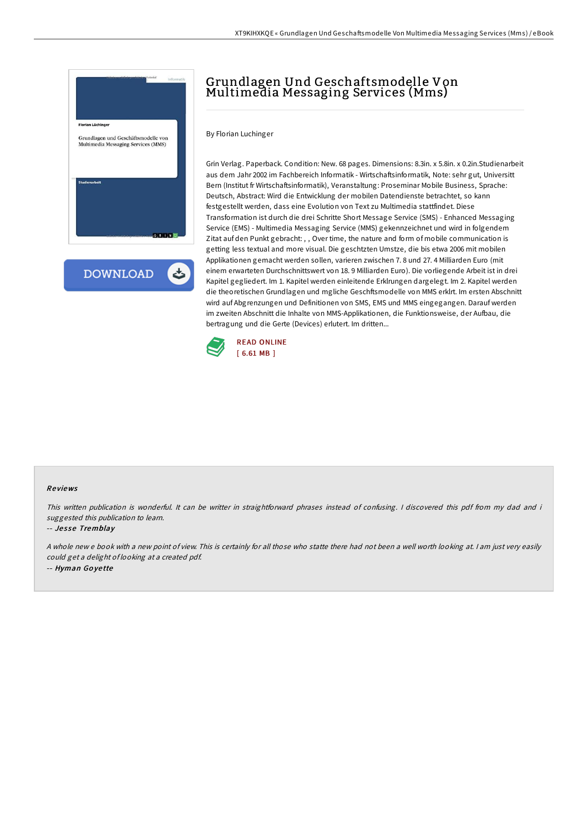

**DOWNLOAD** ٹ

# Grundlagen Und Geschaftsmodelle Von Multimedia Messaging Services (Mms)

By Florian Luchinger

Grin Verlag. Paperback. Condition: New. 68 pages. Dimensions: 8.3in. x 5.8in. x 0.2in.Studienarbeit aus dem Jahr 2002 im Fachbereich Informatik - Wirtschaftsinformatik, Note: sehr gut, Universitt Bern (Institut fr Wirtschaftsinformatik), Veranstaltung: Proseminar Mobile Business, Sprache: Deutsch, Abstract: Wird die Entwicklung der mobilen Datendienste betrachtet, so kann festgestellt werden, dass eine Evolution von Text zu Multimedia stattfindet. Diese Transformation ist durch die drei Schritte Short Message Service (SMS) - Enhanced Messaging Service (EMS) - Multimedia Messaging Service (MMS) gekennzeichnet und wird in folgendem Zitat auf den Punkt gebracht: , , Over time, the nature and form of mobile communication is getting less textual and more visual. Die geschtzten Umstze, die bis etwa 2006 mit mobilen Applikationen gemacht werden sollen, varieren zwischen 7. 8 und 27. 4 Milliarden Euro (mit einem erwarteten Durchschnittswert von 18. 9 Milliarden Euro). Die vorliegende Arbeit ist in drei Kapitel gegliedert. Im 1. Kapitel werden einleitende Erklrungen dargelegt. Im 2. Kapitel werden die theoretischen Grundlagen und mgliche Geschftsmodelle von MMS erklrt. Im ersten Abschnitt wird auf Abgrenzungen und Definitionen von SMS, EMS und MMS eingegangen. Darauf werden im zweiten Abschnitt die Inhalte von MMS-Applikationen, die Funktionsweise, der Aufbau, die bertragung und die Gerte (Devices) erlutert. Im dritten...



### Re views

This written publication is wonderful. It can be writter in straightforward phrases instead of confusing. <sup>I</sup> discovered this pdf from my dad and i suggested this publication to learn.

### -- Jesse Tremblay

<sup>A</sup> whole new <sup>e</sup> book with <sup>a</sup> new point of view. This is certainly for all those who statte there had not been <sup>a</sup> well worth looking at. <sup>I</sup> am just very easily could get <sup>a</sup> delight of looking at <sup>a</sup> created pdf. -- Hyman Go ye tte